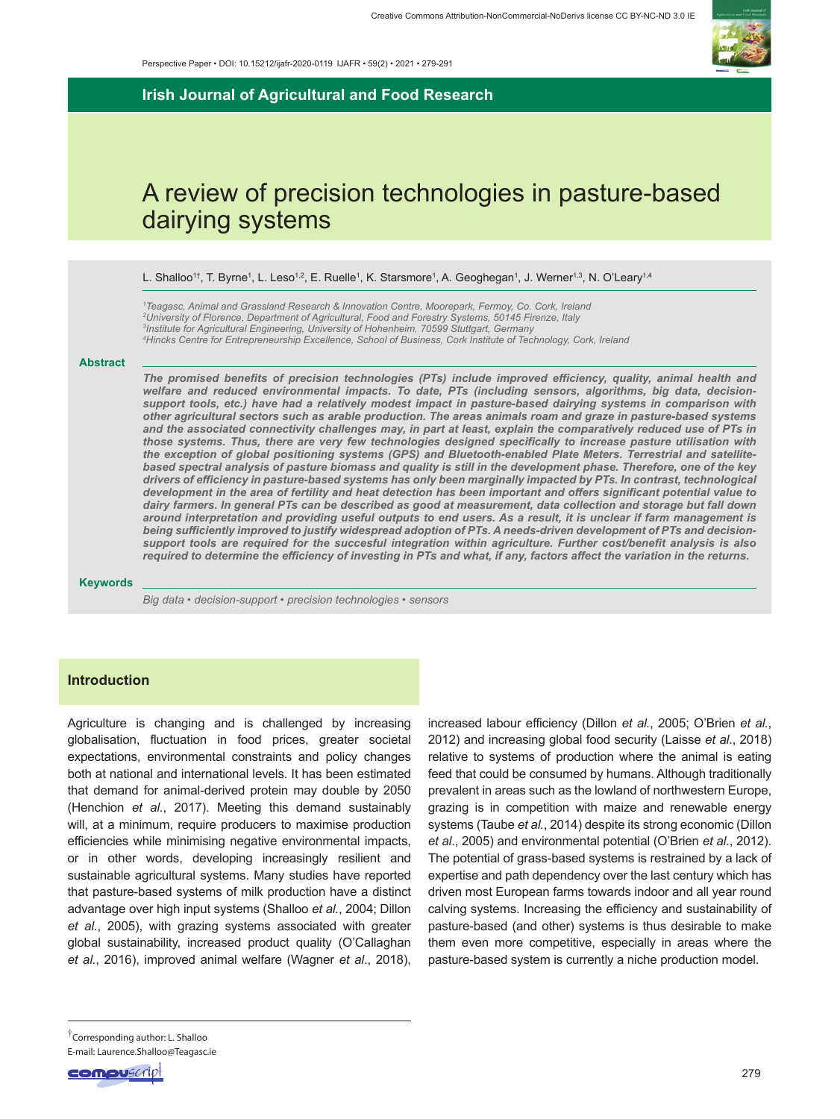

**Irish Journal of Agricultural and Food Research**

# A review of precision technologies in pasture-based dairying systems

L. Shalloo<sup>1†</sup>, T. Byrne<sup>1</sup>, L. Leso<sup>1,2</sup>, E. Ruelle<sup>1</sup>, K. Starsmore<sup>1</sup>, A. Geoghegan<sup>1</sup>, J. Werner<sup>1,3</sup>, N. O'Leary<sup>1,4</sup>

 *Teagasc, Animal and Grassland Research & Innovation Centre, Moorepark, Fermoy, Co. Cork, Ireland University of Florence, Department of Agricultural, Food and Forestry Systems, 50145 Firenze, Italy Institute for Agricultural Engineering, University of Hohenheim, 70599 Stuttgart, Germany Hincks Centre for Entrepreneurship Excellence, School of Business, Cork Institute of Technology, Cork, Ireland*

#### **Abstract**

*The promised benefits of precision technologies (PTs) include improved efficiency, quality, animal health and welfare and reduced environmental impacts. To date, PTs (including sensors, algorithms, big data, decisionsupport tools, etc.) have had a relatively modest impact in pasture-based dairying systems in comparison with other agricultural sectors such as arable production. The areas animals roam and graze in pasture-based systems and the associated connectivity challenges may, in part at least, explain the comparatively reduced use of PTs in those systems. Thus, there are very few technologies designed specifically to increase pasture utilisation with the exception of global positioning systems (GPS) and Bluetooth-enabled Plate Meters. Terrestrial and satellitebased spectral analysis of pasture biomass and quality is still in the development phase. Therefore, one of the key drivers of efficiency in pasture-based systems has only been marginally impacted by PTs. In contrast, technological development in the area of fertility and heat detection has been important and offers significant potential value to dairy farmers. In general PTs can be described as good at measurement, data collection and storage but fall down around interpretation and providing useful outputs to end users. As a result, it is unclear if farm management is being sufficiently improved to justify widespread adoption of PTs. A needs-driven development of PTs and decisionsupport tools are required for the succesful integration within agriculture. Further cost/benefit analysis is also required to determine the efficiency of investing in PTs and what, if any, factors affect the variation in the returns.*

#### **Keywords**

*Big data • decision-support • precision technologies • sensors*

## **Introduction**

Agriculture is changing and is challenged by increasing globalisation, fluctuation in food prices, greater societal expectations, environmental constraints and policy changes both at national and international levels. It has been estimated that demand for animal-derived protein may double by 2050 (Henchion *et al.*, 2017). Meeting this demand sustainably will, at a minimum, require producers to maximise production efficiencies while minimising negative environmental impacts, or in other words, developing increasingly resilient and sustainable agricultural systems. Many studies have reported that pasture-based systems of milk production have a distinct advantage over high input systems (Shalloo *et al.*, 2004; Dillon *et al.*, 2005), with grazing systems associated with greater global sustainability, increased product quality (O'Callaghan *et al.*, 2016), improved animal welfare (Wagner *et al*., 2018),

increased labour efficiency (Dillon *et al.*, 2005; O'Brien *et al.*, 2012) and increasing global food security (Laisse *et al*., 2018) relative to systems of production where the animal is eating feed that could be consumed by humans. Although traditionally prevalent in areas such as the lowland of northwestern Europe, grazing is in competition with maize and renewable energy systems (Taube *et al.*, 2014) despite its strong economic (Dillon *et al*., 2005) and environmental potential (O'Brien *et al*., 2012). The potential of grass-based systems is restrained by a lack of expertise and path dependency over the last century which has driven most European farms towards indoor and all year round calving systems. Increasing the efficiency and sustainability of pasture-based (and other) systems is thus desirable to make them even more competitive, especially in areas where the pasture-based system is currently a niche production model.

<sup>†</sup>Corresponding author: L. Shalloo E-mail: Laurence.Shalloo@Teagasc.ie

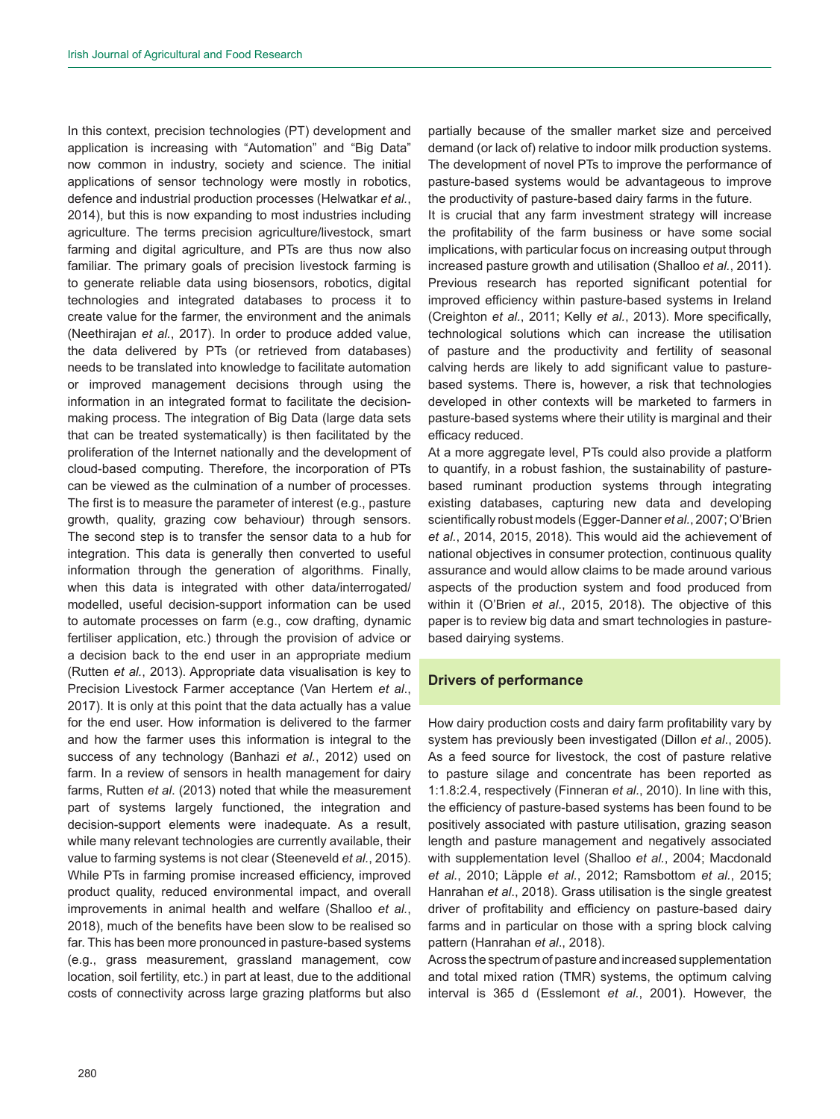In this context, precision technologies (PT) development and application is increasing with "Automation" and "Big Data" now common in industry, society and science. The initial applications of sensor technology were mostly in robotics, defence and industrial production processes (Helwatkar *et al.*, 2014), but this is now expanding to most industries including agriculture. The terms precision agriculture/livestock, smart farming and digital agriculture, and PTs are thus now also familiar. The primary goals of precision livestock farming is to generate reliable data using biosensors, robotics, digital technologies and integrated databases to process it to create value for the farmer, the environment and the animals (Neethirajan *et al.*, 2017). In order to produce added value, the data delivered by PTs (or retrieved from databases) needs to be translated into knowledge to facilitate automation or improved management decisions through using the information in an integrated format to facilitate the decisionmaking process. The integration of Big Data (large data sets that can be treated systematically) is then facilitated by the proliferation of the Internet nationally and the development of cloud-based computing. Therefore, the incorporation of PTs can be viewed as the culmination of a number of processes. The first is to measure the parameter of interest (e.g., pasture growth, quality, grazing cow behaviour) through sensors. The second step is to transfer the sensor data to a hub for integration. This data is generally then converted to useful information through the generation of algorithms. Finally, when this data is integrated with other data/interrogated/ modelled, useful decision-support information can be used to automate processes on farm (e.g., cow drafting, dynamic fertiliser application, etc.) through the provision of advice or a decision back to the end user in an appropriate medium (Rutten *et al.*, 2013). Appropriate data visualisation is key to Precision Livestock Farmer acceptance (Van Hertem *et al*., 2017). It is only at this point that the data actually has a value for the end user. How information is delivered to the farmer and how the farmer uses this information is integral to the success of any technology (Banhazi *et al.*, 2012) used on farm. In a review of sensors in health management for dairy farms, Rutten *et al*. (2013) noted that while the measurement part of systems largely functioned, the integration and decision-support elements were inadequate. As a result, while many relevant technologies are currently available, their value to farming systems is not clear (Steeneveld *et al.*, 2015). While PTs in farming promise increased efficiency, improved product quality, reduced environmental impact, and overall improvements in animal health and welfare (Shalloo *et al.*, 2018), much of the benefits have been slow to be realised so far. This has been more pronounced in pasture-based systems (e.g., grass measurement, grassland management, cow location, soil fertility, etc.) in part at least, due to the additional costs of connectivity across large grazing platforms but also

partially because of the smaller market size and perceived demand (or lack of) relative to indoor milk production systems. The development of novel PTs to improve the performance of pasture-based systems would be advantageous to improve the productivity of pasture-based dairy farms in the future.

It is crucial that any farm investment strategy will increase the profitability of the farm business or have some social implications, with particular focus on increasing output through increased pasture growth and utilisation (Shalloo *et al.*, 2011). Previous research has reported significant potential for improved efficiency within pasture-based systems in Ireland (Creighton *et al.*, 2011; Kelly *et al.*, 2013). More specifically, technological solutions which can increase the utilisation of pasture and the productivity and fertility of seasonal calving herds are likely to add significant value to pasturebased systems. There is, however, a risk that technologies developed in other contexts will be marketed to farmers in pasture-based systems where their utility is marginal and their efficacy reduced.

At a more aggregate level, PTs could also provide a platform to quantify, in a robust fashion, the sustainability of pasturebased ruminant production systems through integrating existing databases, capturing new data and developing scientifically robust models (Egger-Danner *et al.*, 2007; O'Brien *et al.*, 2014, 2015, 2018). This would aid the achievement of national objectives in consumer protection, continuous quality assurance and would allow claims to be made around various aspects of the production system and food produced from within it (O'Brien *et al*., 2015, 2018). The objective of this paper is to review big data and smart technologies in pasturebased dairying systems.

# **Drivers of performance**

How dairy production costs and dairy farm profitability vary by system has previously been investigated (Dillon *et al*., 2005). As a feed source for livestock, the cost of pasture relative to pasture silage and concentrate has been reported as 1:1.8:2.4, respectively (Finneran *et al.*, 2010). In line with this, the efficiency of pasture-based systems has been found to be positively associated with pasture utilisation, grazing season length and pasture management and negatively associated with supplementation level (Shalloo *et al.*, 2004; Macdonald *et al.*, 2010; Läpple *et al.*, 2012; Ramsbottom *et al.*, 2015; Hanrahan *et al*., 2018). Grass utilisation is the single greatest driver of profitability and efficiency on pasture-based dairy farms and in particular on those with a spring block calving pattern (Hanrahan *et al*., 2018).

Across the spectrum of pasture and increased supplementation and total mixed ration (TMR) systems, the optimum calving interval is 365 d (Esslemont *et al.*, 2001). However, the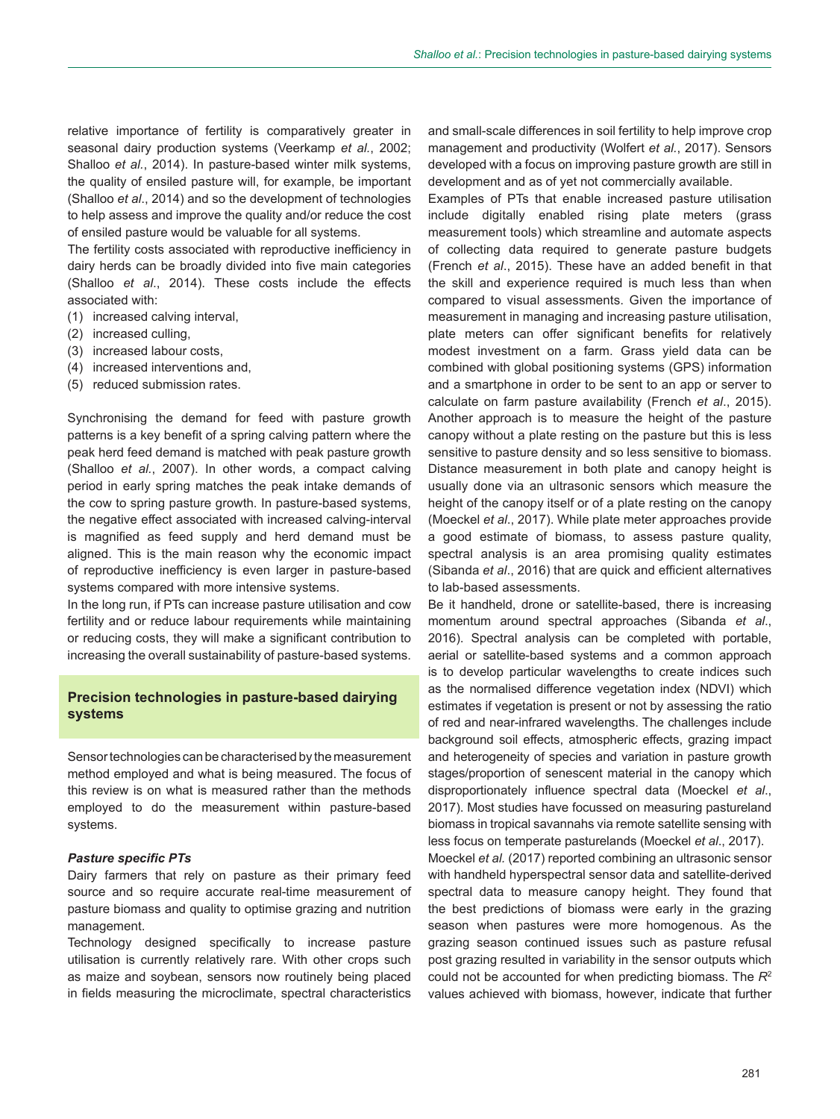relative importance of fertility is comparatively greater in seasonal dairy production systems (Veerkamp *et al.*, 2002; Shalloo *et al.*, 2014). In pasture-based winter milk systems, the quality of ensiled pasture will, for example, be important (Shalloo *et al*., 2014) and so the development of technologies to help assess and improve the quality and/or reduce the cost of ensiled pasture would be valuable for all systems.

The fertility costs associated with reproductive inefficiency in dairy herds can be broadly divided into five main categories (Shalloo *et al*., 2014). These costs include the effects associated with:

- (1) increased calving interval,
- (2) increased culling,
- (3) increased labour costs,
- (4) increased interventions and,
- (5) reduced submission rates.

Synchronising the demand for feed with pasture growth patterns is a key benefit of a spring calving pattern where the peak herd feed demand is matched with peak pasture growth (Shalloo *et al.*, 2007). In other words, a compact calving period in early spring matches the peak intake demands of the cow to spring pasture growth. In pasture-based systems, the negative effect associated with increased calving-interval is magnified as feed supply and herd demand must be aligned. This is the main reason why the economic impact of reproductive inefficiency is even larger in pasture-based systems compared with more intensive systems.

In the long run, if PTs can increase pasture utilisation and cow fertility and or reduce labour requirements while maintaining or reducing costs, they will make a significant contribution to increasing the overall sustainability of pasture-based systems.

# **Precision technologies in pasture-based dairying systems**

Sensor technologies can be characterised by the measurement method employed and what is being measured. The focus of this review is on what is measured rather than the methods employed to do the measurement within pasture-based systems.

## *Pasture specific PTs*

Dairy farmers that rely on pasture as their primary feed source and so require accurate real-time measurement of pasture biomass and quality to optimise grazing and nutrition management.

Technology designed specifically to increase pasture utilisation is currently relatively rare. With other crops such as maize and soybean, sensors now routinely being placed in fields measuring the microclimate, spectral characteristics and small-scale differences in soil fertility to help improve crop management and productivity (Wolfert *et al.*, 2017). Sensors developed with a focus on improving pasture growth are still in development and as of yet not commercially available.

Examples of PTs that enable increased pasture utilisation include digitally enabled rising plate meters (grass measurement tools) which streamline and automate aspects of collecting data required to generate pasture budgets (French *et al*., 2015). These have an added benefit in that the skill and experience required is much less than when compared to visual assessments. Given the importance of measurement in managing and increasing pasture utilisation, plate meters can offer significant benefits for relatively modest investment on a farm. Grass yield data can be combined with global positioning systems (GPS) information and a smartphone in order to be sent to an app or server to calculate on farm pasture availability (French *et al*., 2015). Another approach is to measure the height of the pasture canopy without a plate resting on the pasture but this is less sensitive to pasture density and so less sensitive to biomass. Distance measurement in both plate and canopy height is usually done via an ultrasonic sensors which measure the height of the canopy itself or of a plate resting on the canopy (Moeckel *et al*., 2017). While plate meter approaches provide a good estimate of biomass, to assess pasture quality, spectral analysis is an area promising quality estimates (Sibanda *et al*., 2016) that are quick and efficient alternatives to lab-based assessments.

Be it handheld, drone or satellite-based, there is increasing momentum around spectral approaches (Sibanda *et al*., 2016). Spectral analysis can be completed with portable, aerial or satellite-based systems and a common approach is to develop particular wavelengths to create indices such as the normalised difference vegetation index (NDVI) which estimates if vegetation is present or not by assessing the ratio of red and near-infrared wavelengths. The challenges include background soil effects, atmospheric effects, grazing impact and heterogeneity of species and variation in pasture growth stages/proportion of senescent material in the canopy which disproportionately influence spectral data (Moeckel *et al*., 2017). Most studies have focussed on measuring pastureland biomass in tropical savannahs via remote satellite sensing with less focus on temperate pasturelands (Moeckel *et al*., 2017).

Moeckel *et al.* (2017) reported combining an ultrasonic sensor with handheld hyperspectral sensor data and satellite-derived spectral data to measure canopy height. They found that the best predictions of biomass were early in the grazing season when pastures were more homogenous. As the grazing season continued issues such as pasture refusal post grazing resulted in variability in the sensor outputs which could not be accounted for when predicting biomass. The *R*<sup>2</sup> values achieved with biomass, however, indicate that further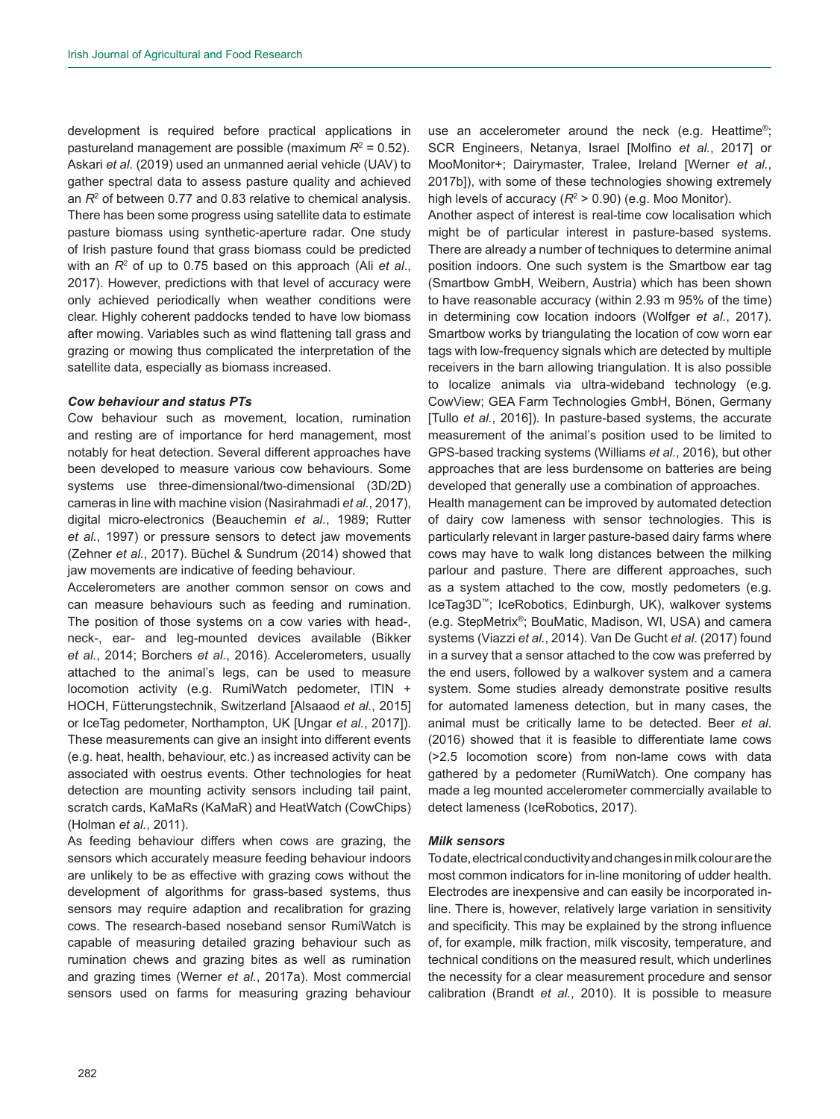development is required before practical applications in pastureland management are possible (maximum R<sup>2</sup> = 0.52). Askari *et al*. (2019) used an unmanned aerial vehicle (UAV) to gather spectral data to assess pasture quality and achieved an *R*<sup>2</sup> of between 0.77 and 0.83 relative to chemical analysis. There has been some progress using satellite data to estimate pasture biomass using synthetic-aperture radar. One study of Irish pasture found that grass biomass could be predicted with an *R*<sup>2</sup> of up to 0.75 based on this approach (Ali *et al*., 2017). However, predictions with that level of accuracy were only achieved periodically when weather conditions were clear. Highly coherent paddocks tended to have low biomass after mowing. Variables such as wind flattening tall grass and grazing or mowing thus complicated the interpretation of the satellite data, especially as biomass increased.

### *Cow behaviour and status PTs*

Cow behaviour such as movement, location, rumination and resting are of importance for herd management, most notably for heat detection. Several different approaches have been developed to measure various cow behaviours. Some systems use three-dimensional/two-dimensional (3D/2D) cameras in line with machine vision (Nasirahmadi *et al.*, 2017), digital micro-electronics (Beauchemin *et al.*, 1989; Rutter *et al.*, 1997) or pressure sensors to detect jaw movements (Zehner *et al.*, 2017). Büchel & Sundrum (2014) showed that jaw movements are indicative of feeding behaviour.

Accelerometers are another common sensor on cows and can measure behaviours such as feeding and rumination. The position of those systems on a cow varies with head-, neck-, ear- and leg-mounted devices available (Bikker *et al.*, 2014; Borchers *et al.*, 2016). Accelerometers, usually attached to the animal's legs, can be used to measure locomotion activity (e.g. RumiWatch pedometer, ITIN + HOCH, Fütterungstechnik, Switzerland [Alsaaod *et al.*, 2015] or IceTag pedometer, Northampton, UK [Ungar *et al.*, 2017]). These measurements can give an insight into different events (e.g. heat, health, behaviour, etc.) as increased activity can be associated with oestrus events. Other technologies for heat detection are mounting activity sensors including tail paint, scratch cards, KaMaRs (KaMaR) and HeatWatch (CowChips) (Holman *et al.*, 2011).

As feeding behaviour differs when cows are grazing, the sensors which accurately measure feeding behaviour indoors are unlikely to be as effective with grazing cows without the development of algorithms for grass-based systems, thus sensors may require adaption and recalibration for grazing cows. The research-based noseband sensor RumiWatch is capable of measuring detailed grazing behaviour such as rumination chews and grazing bites as well as rumination and grazing times (Werner *et al.*, 2017a). Most commercial sensors used on farms for measuring grazing behaviour use an accelerometer around the neck (e.g. Heattime®; SCR Engineers, Netanya, Israel [Molfino *et al.*, 2017] or MooMonitor+; Dairymaster, Tralee, Ireland [Werner *et al.*, 2017b]), with some of these technologies showing extremely high levels of accuracy (R<sup>2</sup> > 0.90) (e.g. Moo Monitor).

Another aspect of interest is real-time cow localisation which might be of particular interest in pasture-based systems. There are already a number of techniques to determine animal position indoors. One such system is the Smartbow ear tag (Smartbow GmbH, Weibern, Austria) which has been shown to have reasonable accuracy (within 2.93 m 95% of the time) in determining cow location indoors (Wolfger *et al.*, 2017). Smartbow works by triangulating the location of cow worn ear tags with low-frequency signals which are detected by multiple receivers in the barn allowing triangulation. It is also possible to localize animals via ultra-wideband technology (e.g. CowView; GEA Farm Technologies GmbH, Bönen, Germany [Tullo *et al.*, 2016]). In pasture-based systems, the accurate measurement of the animal's position used to be limited to GPS-based tracking systems (Williams *et al.*, 2016), but other approaches that are less burdensome on batteries are being developed that generally use a combination of approaches.

Health management can be improved by automated detection of dairy cow lameness with sensor technologies. This is particularly relevant in larger pasture-based dairy farms where cows may have to walk long distances between the milking parlour and pasture. There are different approaches, such as a system attached to the cow, mostly pedometers (e.g. IceTag3D™; IceRobotics, Edinburgh, UK), walkover systems (e.g. StepMetrix®; BouMatic, Madison, WI, USA) and camera systems (Viazzi *et al.*, 2014). Van De Gucht *et al*. (2017) found in a survey that a sensor attached to the cow was preferred by the end users, followed by a walkover system and a camera system. Some studies already demonstrate positive results for automated lameness detection, but in many cases, the animal must be critically lame to be detected. Beer *et al*. (2016) showed that it is feasible to differentiate lame cows (>2.5 locomotion score) from non-lame cows with data gathered by a pedometer (RumiWatch). One company has made a leg mounted accelerometer commercially available to detect lameness (IceRobotics, 2017).

## *Milk sensors*

To date, electrical conductivity and changes in milk colour are the most common indicators for in-line monitoring of udder health. Electrodes are inexpensive and can easily be incorporated inline. There is, however, relatively large variation in sensitivity and specificity. This may be explained by the strong influence of, for example, milk fraction, milk viscosity, temperature, and technical conditions on the measured result, which underlines the necessity for a clear measurement procedure and sensor calibration (Brandt *et al.*, 2010). It is possible to measure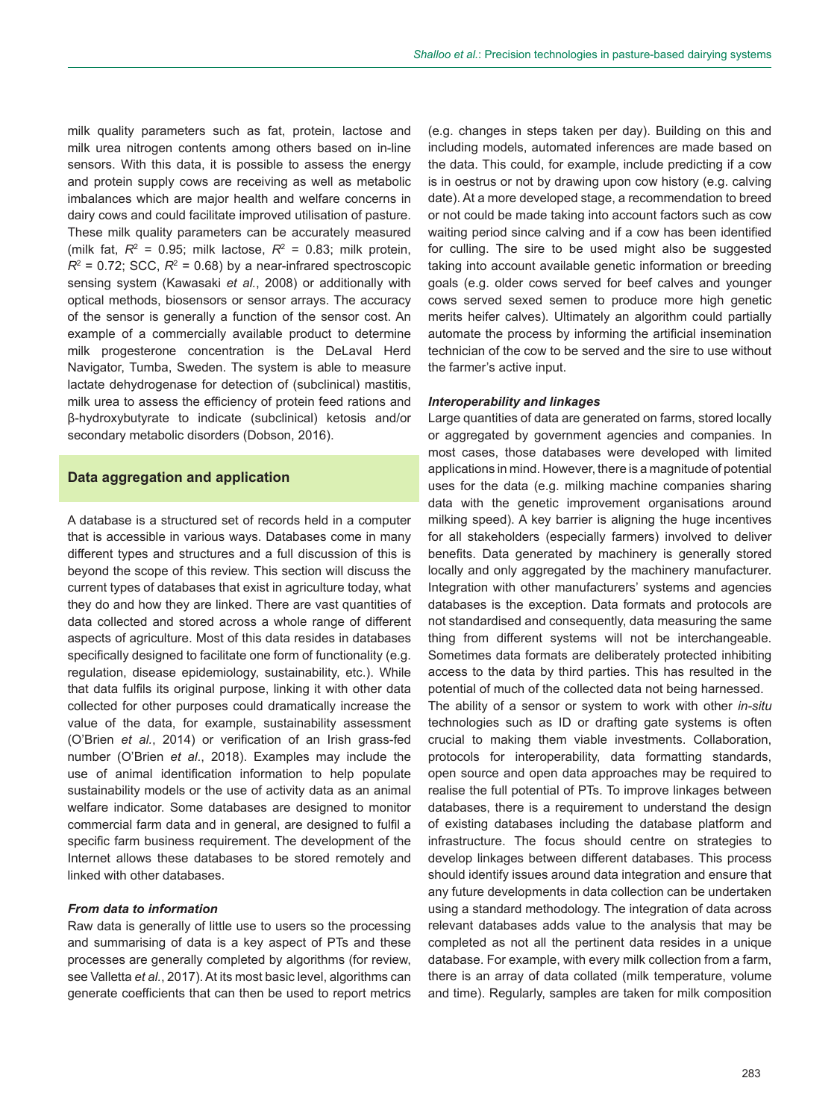milk quality parameters such as fat, protein, lactose and milk urea nitrogen contents among others based on in-line sensors. With this data, it is possible to assess the energy and protein supply cows are receiving as well as metabolic imbalances which are major health and welfare concerns in dairy cows and could facilitate improved utilisation of pasture. These milk quality parameters can be accurately measured (milk fat,  $R^2$  = 0.95; milk lactose,  $R^2$  = 0.83; milk protein,  $R^2$  = 0.72; SCC,  $R^2$  = 0.68) by a near-infrared spectroscopic sensing system (Kawasaki *et al.*, 2008) or additionally with optical methods, biosensors or sensor arrays. The accuracy of the sensor is generally a function of the sensor cost. An example of a commercially available product to determine milk progesterone concentration is the DeLaval Herd Navigator, Tumba, Sweden. The system is able to measure lactate dehydrogenase for detection of (subclinical) mastitis, milk urea to assess the efficiency of protein feed rations and β-hydroxybutyrate to indicate (subclinical) ketosis and/or secondary metabolic disorders (Dobson, 2016).

## **Data aggregation and application**

A database is a structured set of records held in a computer that is accessible in various ways. Databases come in many different types and structures and a full discussion of this is beyond the scope of this review. This section will discuss the current types of databases that exist in agriculture today, what they do and how they are linked. There are vast quantities of data collected and stored across a whole range of different aspects of agriculture. Most of this data resides in databases specifically designed to facilitate one form of functionality (e.g. regulation, disease epidemiology, sustainability, etc.). While that data fulfils its original purpose, linking it with other data collected for other purposes could dramatically increase the value of the data, for example, sustainability assessment (O'Brien *et al.*, 2014) or verification of an Irish grass-fed number (O'Brien *et al*., 2018). Examples may include the use of animal identification information to help populate sustainability models or the use of activity data as an animal welfare indicator. Some databases are designed to monitor commercial farm data and in general, are designed to fulfil a specific farm business requirement. The development of the Internet allows these databases to be stored remotely and linked with other databases.

### *From data to information*

Raw data is generally of little use to users so the processing and summarising of data is a key aspect of PTs and these processes are generally completed by algorithms (for review, see Valletta *et al.*, 2017). At its most basic level, algorithms can generate coefficients that can then be used to report metrics (e.g. changes in steps taken per day). Building on this and including models, automated inferences are made based on the data. This could, for example, include predicting if a cow is in oestrus or not by drawing upon cow history (e.g. calving date). At a more developed stage, a recommendation to breed or not could be made taking into account factors such as cow waiting period since calving and if a cow has been identified for culling. The sire to be used might also be suggested taking into account available genetic information or breeding goals (e.g. older cows served for beef calves and younger cows served sexed semen to produce more high genetic merits heifer calves). Ultimately an algorithm could partially automate the process by informing the artificial insemination technician of the cow to be served and the sire to use without the farmer's active input.

## *Interoperability and linkages*

Large quantities of data are generated on farms, stored locally or aggregated by government agencies and companies. In most cases, those databases were developed with limited applications in mind. However, there is a magnitude of potential uses for the data (e.g. milking machine companies sharing data with the genetic improvement organisations around milking speed). A key barrier is aligning the huge incentives for all stakeholders (especially farmers) involved to deliver benefits. Data generated by machinery is generally stored locally and only aggregated by the machinery manufacturer. Integration with other manufacturers' systems and agencies databases is the exception. Data formats and protocols are not standardised and consequently, data measuring the same thing from different systems will not be interchangeable. Sometimes data formats are deliberately protected inhibiting access to the data by third parties. This has resulted in the potential of much of the collected data not being harnessed.

The ability of a sensor or system to work with other *in-situ* technologies such as ID or drafting gate systems is often crucial to making them viable investments. Collaboration, protocols for interoperability, data formatting standards, open source and open data approaches may be required to realise the full potential of PTs. To improve linkages between databases, there is a requirement to understand the design of existing databases including the database platform and infrastructure. The focus should centre on strategies to develop linkages between different databases. This process should identify issues around data integration and ensure that any future developments in data collection can be undertaken using a standard methodology. The integration of data across relevant databases adds value to the analysis that may be completed as not all the pertinent data resides in a unique database. For example, with every milk collection from a farm, there is an array of data collated (milk temperature, volume and time). Regularly, samples are taken for milk composition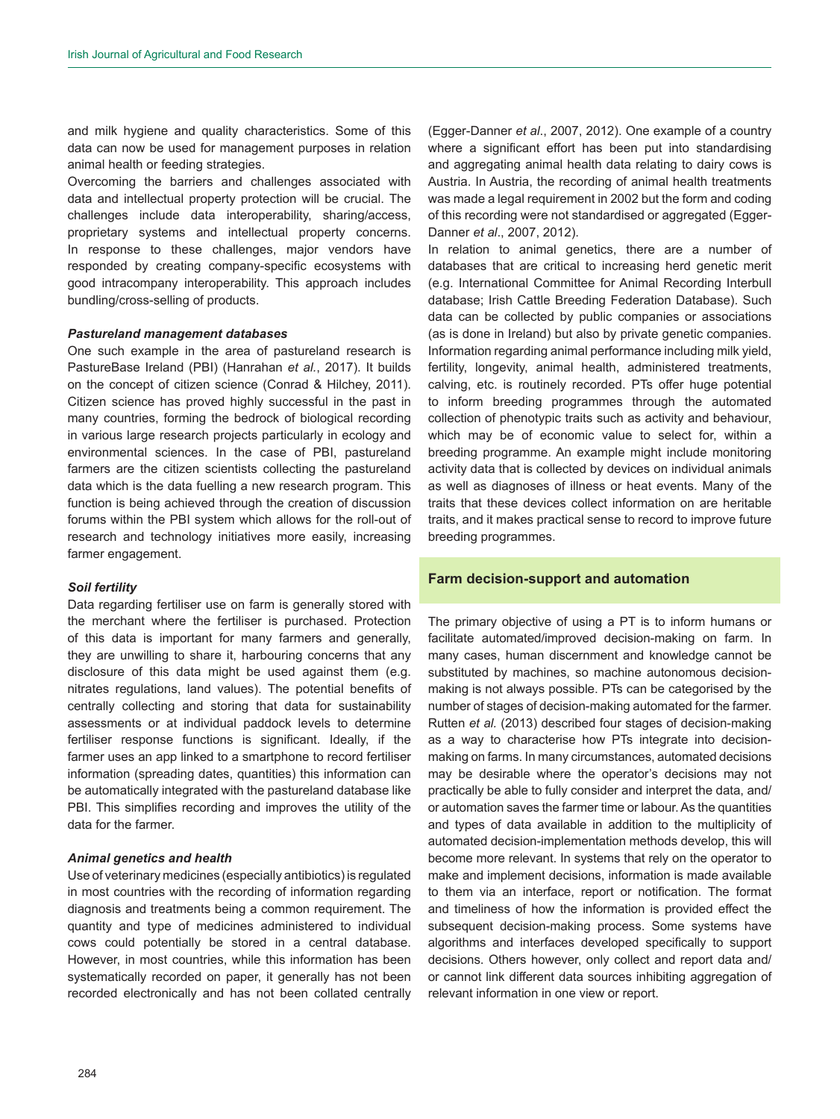and milk hygiene and quality characteristics. Some of this data can now be used for management purposes in relation animal health or feeding strategies.

Overcoming the barriers and challenges associated with data and intellectual property protection will be crucial. The challenges include data interoperability, sharing/access, proprietary systems and intellectual property concerns. In response to these challenges, major vendors have responded by creating company-specific ecosystems with good intracompany interoperability. This approach includes bundling/cross-selling of products.

### *Pastureland management databases*

One such example in the area of pastureland research is PastureBase Ireland (PBI) (Hanrahan *et al.*, 2017). It builds on the concept of citizen science (Conrad & Hilchey, 2011). Citizen science has proved highly successful in the past in many countries, forming the bedrock of biological recording in various large research projects particularly in ecology and environmental sciences. In the case of PBI, pastureland farmers are the citizen scientists collecting the pastureland data which is the data fuelling a new research program. This function is being achieved through the creation of discussion forums within the PBI system which allows for the roll-out of research and technology initiatives more easily, increasing farmer engagement.

#### *Soil fertility*

Data regarding fertiliser use on farm is generally stored with the merchant where the fertiliser is purchased. Protection of this data is important for many farmers and generally, they are unwilling to share it, harbouring concerns that any disclosure of this data might be used against them (e.g. nitrates regulations, land values). The potential benefits of centrally collecting and storing that data for sustainability assessments or at individual paddock levels to determine fertiliser response functions is significant. Ideally, if the farmer uses an app linked to a smartphone to record fertiliser information (spreading dates, quantities) this information can be automatically integrated with the pastureland database like PBI. This simplifies recording and improves the utility of the data for the farmer.

## *Animal genetics and health*

Use of veterinary medicines (especially antibiotics) is regulated in most countries with the recording of information regarding diagnosis and treatments being a common requirement. The quantity and type of medicines administered to individual cows could potentially be stored in a central database. However, in most countries, while this information has been systematically recorded on paper, it generally has not been recorded electronically and has not been collated centrally

(Egger-Danner *et al*., 2007, 2012). One example of a country where a significant effort has been put into standardising and aggregating animal health data relating to dairy cows is Austria. In Austria, the recording of animal health treatments was made a legal requirement in 2002 but the form and coding of this recording were not standardised or aggregated (Egger-Danner *et al*., 2007, 2012).

In relation to animal genetics, there are a number of databases that are critical to increasing herd genetic merit (e.g. International Committee for Animal Recording Interbull database; Irish Cattle Breeding Federation Database). Such data can be collected by public companies or associations (as is done in Ireland) but also by private genetic companies. Information regarding animal performance including milk yield, fertility, longevity, animal health, administered treatments, calving, etc. is routinely recorded. PTs offer huge potential to inform breeding programmes through the automated collection of phenotypic traits such as activity and behaviour, which may be of economic value to select for, within a breeding programme. An example might include monitoring activity data that is collected by devices on individual animals as well as diagnoses of illness or heat events. Many of the traits that these devices collect information on are heritable traits, and it makes practical sense to record to improve future breeding programmes.

## **Farm decision-support and automation**

The primary objective of using a PT is to inform humans or facilitate automated/improved decision-making on farm. In many cases, human discernment and knowledge cannot be substituted by machines, so machine autonomous decisionmaking is not always possible. PTs can be categorised by the number of stages of decision-making automated for the farmer. Rutten *et al.* (2013) described four stages of decision-making as a way to characterise how PTs integrate into decisionmaking on farms. In many circumstances, automated decisions may be desirable where the operator's decisions may not practically be able to fully consider and interpret the data, and/ or automation saves the farmer time or labour. As the quantities and types of data available in addition to the multiplicity of automated decision-implementation methods develop, this will become more relevant. In systems that rely on the operator to make and implement decisions, information is made available to them via an interface, report or notification. The format and timeliness of how the information is provided effect the subsequent decision-making process. Some systems have algorithms and interfaces developed specifically to support decisions. Others however, only collect and report data and/ or cannot link different data sources inhibiting aggregation of relevant information in one view or report.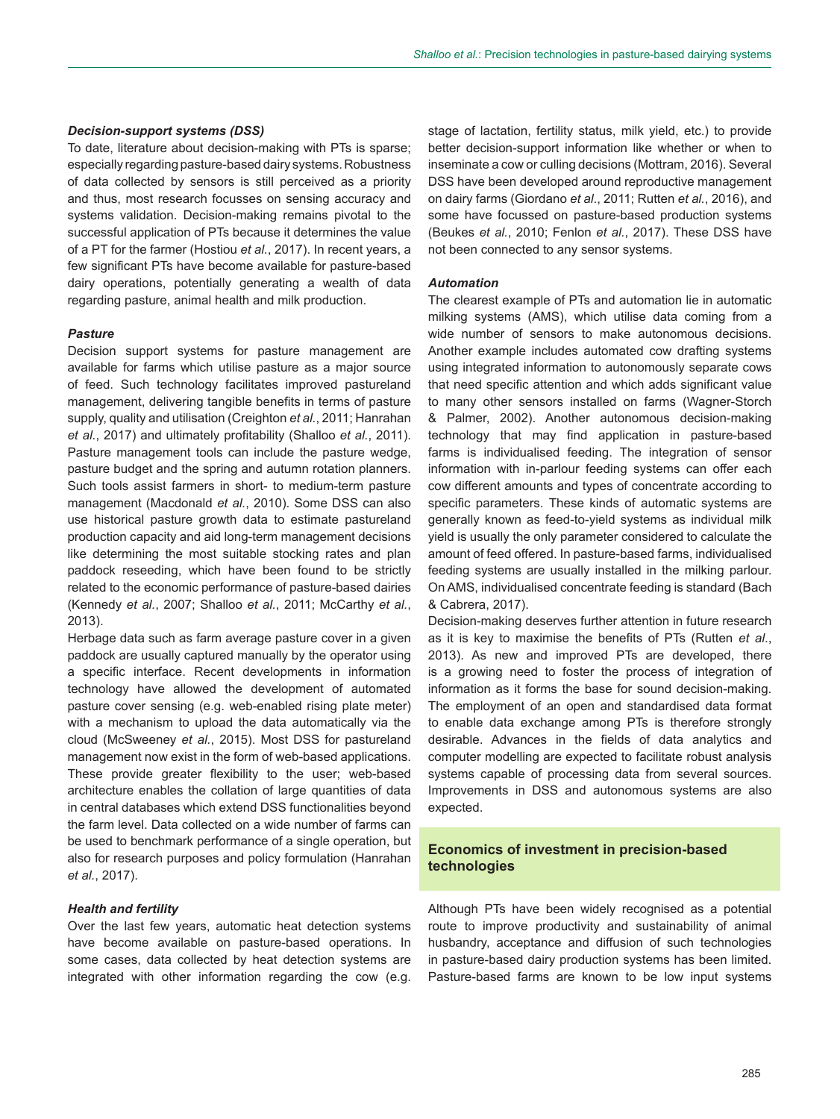### *Decision-support systems (DSS)*

To date, literature about decision-making with PTs is sparse; especially regarding pasture-based dairy systems. Robustness of data collected by sensors is still perceived as a priority and thus, most research focusses on sensing accuracy and systems validation. Decision-making remains pivotal to the successful application of PTs because it determines the value of a PT for the farmer (Hostiou *et al.*, 2017). In recent years, a few significant PTs have become available for pasture-based dairy operations, potentially generating a wealth of data regarding pasture, animal health and milk production.

### *Pasture*

Decision support systems for pasture management are available for farms which utilise pasture as a major source of feed. Such technology facilitates improved pastureland management, delivering tangible benefits in terms of pasture supply, quality and utilisation (Creighton *et al.*, 2011; Hanrahan *et al.*, 2017) and ultimately profitability (Shalloo *et al.*, 2011). Pasture management tools can include the pasture wedge, pasture budget and the spring and autumn rotation planners. Such tools assist farmers in short- to medium-term pasture management (Macdonald *et al.*, 2010). Some DSS can also use historical pasture growth data to estimate pastureland production capacity and aid long-term management decisions like determining the most suitable stocking rates and plan paddock reseeding, which have been found to be strictly related to the economic performance of pasture-based dairies (Kennedy *et al.*, 2007; Shalloo *et al.*, 2011; McCarthy *et al.*, 2013).

Herbage data such as farm average pasture cover in a given paddock are usually captured manually by the operator using a specific interface. Recent developments in information technology have allowed the development of automated pasture cover sensing (e.g. web-enabled rising plate meter) with a mechanism to upload the data automatically via the cloud (McSweeney *et al.*, 2015). Most DSS for pastureland management now exist in the form of web-based applications. These provide greater flexibility to the user; web-based architecture enables the collation of large quantities of data in central databases which extend DSS functionalities beyond the farm level. Data collected on a wide number of farms can be used to benchmark performance of a single operation, but also for research purposes and policy formulation (Hanrahan *et al.*, 2017).

#### *Health and fertility*

Over the last few years, automatic heat detection systems have become available on pasture-based operations. In some cases, data collected by heat detection systems are integrated with other information regarding the cow (e.g. stage of lactation, fertility status, milk yield, etc.) to provide better decision-support information like whether or when to inseminate a cow or culling decisions (Mottram, 2016). Several DSS have been developed around reproductive management on dairy farms (Giordano *et al*., 2011; Rutten *et al.*, 2016), and some have focussed on pasture-based production systems (Beukes *et al.*, 2010; Fenlon *et al.*, 2017). These DSS have not been connected to any sensor systems.

### *Automation*

The clearest example of PTs and automation lie in automatic milking systems (AMS), which utilise data coming from a wide number of sensors to make autonomous decisions. Another example includes automated cow drafting systems using integrated information to autonomously separate cows that need specific attention and which adds significant value to many other sensors installed on farms (Wagner-Storch & Palmer, 2002). Another autonomous decision-making technology that may find application in pasture-based farms is individualised feeding. The integration of sensor information with in-parlour feeding systems can offer each cow different amounts and types of concentrate according to specific parameters. These kinds of automatic systems are generally known as feed-to-yield systems as individual milk yield is usually the only parameter considered to calculate the amount of feed offered. In pasture-based farms, individualised feeding systems are usually installed in the milking parlour. On AMS, individualised concentrate feeding is standard (Bach & Cabrera, 2017).

Decision-making deserves further attention in future research as it is key to maximise the benefits of PTs (Rutten *et al*., 2013). As new and improved PTs are developed, there is a growing need to foster the process of integration of information as it forms the base for sound decision-making. The employment of an open and standardised data format to enable data exchange among PTs is therefore strongly desirable. Advances in the fields of data analytics and computer modelling are expected to facilitate robust analysis systems capable of processing data from several sources. Improvements in DSS and autonomous systems are also expected.

# **Economics of investment in precision-based technologies**

Although PTs have been widely recognised as a potential route to improve productivity and sustainability of animal husbandry, acceptance and diffusion of such technologies in pasture-based dairy production systems has been limited. Pasture-based farms are known to be low input systems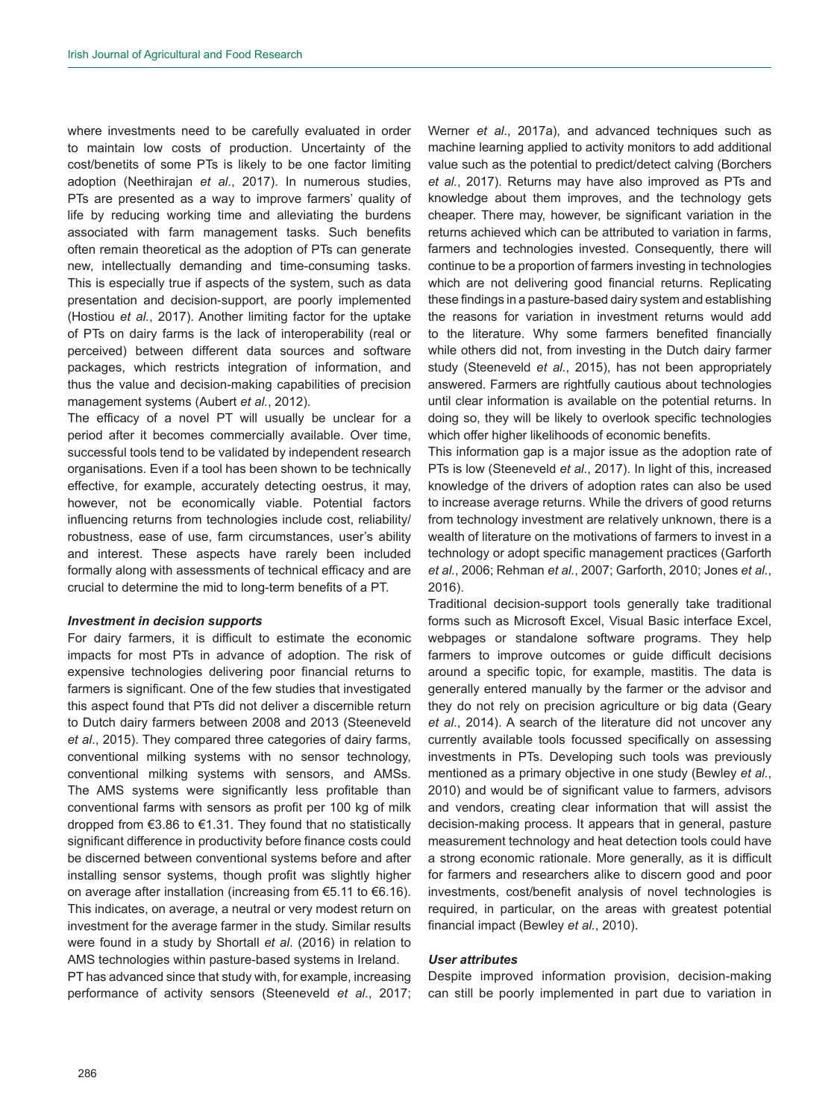where investments need to be carefully evaluated in order to maintain low costs of production. Uncertainty of the cost/benetits of some PTs is likely to be one factor limiting adoption (Neethirajan *et al.*, 2017). In numerous studies, PTs are presented as a way to improve farmers' quality of life by reducing working time and alleviating the burdens associated with farm management tasks. Such benefits often remain theoretical as the adoption of PTs can generate new, intellectually demanding and time-consuming tasks. This is especially true if aspects of the system, such as data presentation and decision-support, are poorly implemented (Hostiou *et al.*, 2017). Another limiting factor for the uptake of PTs on dairy farms is the lack of interoperability (real or perceived) between different data sources and software packages, which restricts integration of information, and thus the value and decision-making capabilities of precision management systems (Aubert *et al.*, 2012).

The efficacy of a novel PT will usually be unclear for a period after it becomes commercially available. Over time, successful tools tend to be validated by independent research organisations. Even if a tool has been shown to be technically effective, for example, accurately detecting oestrus, it may, however, not be economically viable. Potential factors influencing returns from technologies include cost, reliability/ robustness, ease of use, farm circumstances, user's ability and interest. These aspects have rarely been included formally along with assessments of technical efficacy and are crucial to determine the mid to long-term benefits of a PT.

### *Investment in decision supports*

For dairy farmers, it is difficult to estimate the economic impacts for most PTs in advance of adoption. The risk of expensive technologies delivering poor financial returns to farmers is significant. One of the few studies that investigated this aspect found that PTs did not deliver a discernible return to Dutch dairy farmers between 2008 and 2013 (Steeneveld *et al*., 2015). They compared three categories of dairy farms, conventional milking systems with no sensor technology, conventional milking systems with sensors, and AMSs. The AMS systems were significantly less profitable than conventional farms with sensors as profit per 100 kg of milk dropped from €3.86 to €1.31. They found that no statistically significant difference in productivity before finance costs could be discerned between conventional systems before and after installing sensor systems, though profit was slightly higher on average after installation (increasing from €5.11 to €6.16). This indicates, on average, a neutral or very modest return on investment for the average farmer in the study. Similar results were found in a study by Shortall *et al*. (2016) in relation to AMS technologies within pasture-based systems in Ireland. PT has advanced since that study with, for example, increasing

performance of activity sensors (Steeneveld *et al*., 2017;

Werner *et al*., 2017a), and advanced techniques such as machine learning applied to activity monitors to add additional value such as the potential to predict/detect calving (Borchers *et al.*, 2017). Returns may have also improved as PTs and knowledge about them improves, and the technology gets cheaper. There may, however, be significant variation in the returns achieved which can be attributed to variation in farms, farmers and technologies invested. Consequently, there will continue to be a proportion of farmers investing in technologies which are not delivering good financial returns. Replicating these findings in a pasture-based dairy system and establishing the reasons for variation in investment returns would add to the literature. Why some farmers benefited financially while others did not, from investing in the Dutch dairy farmer study (Steeneveld *et al.*, 2015), has not been appropriately answered. Farmers are rightfully cautious about technologies until clear information is available on the potential returns. In doing so, they will be likely to overlook specific technologies which offer higher likelihoods of economic benefits.

This information gap is a major issue as the adoption rate of PTs is low (Steeneveld *et al.*, 2017). In light of this, increased knowledge of the drivers of adoption rates can also be used to increase average returns. While the drivers of good returns from technology investment are relatively unknown, there is a wealth of literature on the motivations of farmers to invest in a technology or adopt specific management practices (Garforth *et al.*, 2006; Rehman *et al.*, 2007; Garforth, 2010; Jones *et al.*, 2016).

Traditional decision-support tools generally take traditional forms such as Microsoft Excel, Visual Basic interface Excel, webpages or standalone software programs. They help farmers to improve outcomes or guide difficult decisions around a specific topic, for example, mastitis. The data is generally entered manually by the farmer or the advisor and they do not rely on precision agriculture or big data (Geary *et al*., 2014). A search of the literature did not uncover any currently available tools focussed specifically on assessing investments in PTs. Developing such tools was previously mentioned as a primary objective in one study (Bewley *et al.*, 2010) and would be of significant value to farmers, advisors and vendors, creating clear information that will assist the decision-making process. It appears that in general, pasture measurement technology and heat detection tools could have a strong economic rationale. More generally, as it is difficult for farmers and researchers alike to discern good and poor investments, cost/benefit analysis of novel technologies is required, in particular, on the areas with greatest potential financial impact (Bewley *et al.*, 2010).

## *User attributes*

Despite improved information provision, decision-making can still be poorly implemented in part due to variation in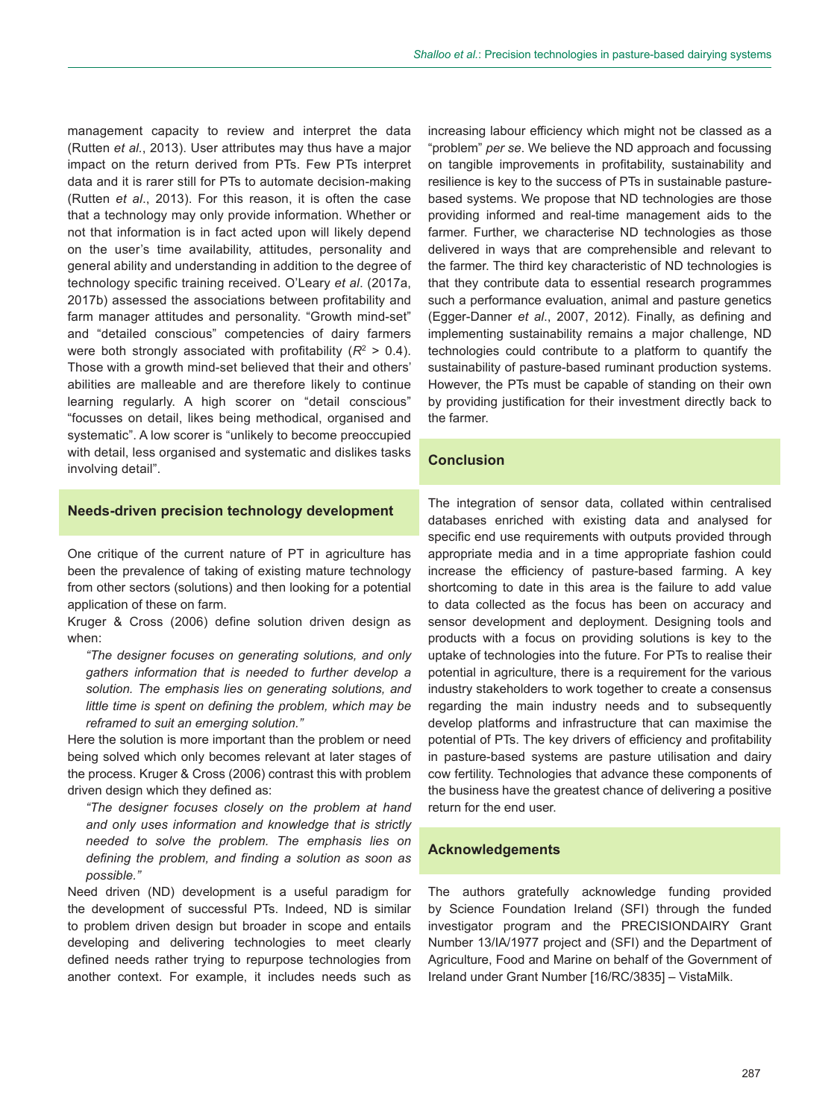management capacity to review and interpret the data (Rutten *et al.*, 2013). User attributes may thus have a major impact on the return derived from PTs. Few PTs interpret data and it is rarer still for PTs to automate decision-making (Rutten *et al*., 2013). For this reason, it is often the case that a technology may only provide information. Whether or not that information is in fact acted upon will likely depend on the user's time availability, attitudes, personality and general ability and understanding in addition to the degree of technology specific training received. O'Leary *et al*. (2017a, 2017b) assessed the associations between profitability and farm manager attitudes and personality. "Growth mind-set" and "detailed conscious" competencies of dairy farmers were both strongly associated with profitability  $(R^2 > 0.4)$ . Those with a growth mind-set believed that their and others' abilities are malleable and are therefore likely to continue learning regularly. A high scorer on "detail conscious" "focusses on detail, likes being methodical, organised and systematic". A low scorer is "unlikely to become preoccupied with detail, less organised and systematic and dislikes tasks involving detail".

increasing labour efficiency which might not be classed as a "problem" *per se*. We believe the ND approach and focussing on tangible improvements in profitability, sustainability and resilience is key to the success of PTs in sustainable pasturebased systems. We propose that ND technologies are those providing informed and real-time management aids to the farmer. Further, we characterise ND technologies as those delivered in ways that are comprehensible and relevant to the farmer. The third key characteristic of ND technologies is that they contribute data to essential research programmes such a performance evaluation, animal and pasture genetics (Egger-Danner *et al*., 2007, 2012). Finally, as defining and implementing sustainability remains a major challenge, ND technologies could contribute to a platform to quantify the sustainability of pasture-based ruminant production systems. However, the PTs must be capable of standing on their own by providing justification for their investment directly back to the farmer.

## **Conclusion**

## **Needs-driven precision technology development**

One critique of the current nature of PT in agriculture has been the prevalence of taking of existing mature technology from other sectors (solutions) and then looking for a potential application of these on farm.

Kruger & Cross (2006) define solution driven design as when:

*"The designer focuses on generating solutions, and only gathers information that is needed to further develop a solution. The emphasis lies on generating solutions, and little time is spent on defining the problem, which may be reframed to suit an emerging solution."*

Here the solution is more important than the problem or need being solved which only becomes relevant at later stages of the process. Kruger & Cross (2006) contrast this with problem driven design which they defined as:

*"The designer focuses closely on the problem at hand and only uses information and knowledge that is strictly needed to solve the problem. The emphasis lies on defining the problem, and finding a solution as soon as possible."*

Need driven (ND) development is a useful paradigm for the development of successful PTs. Indeed, ND is similar to problem driven design but broader in scope and entails developing and delivering technologies to meet clearly defined needs rather trying to repurpose technologies from another context. For example, it includes needs such as

The integration of sensor data, collated within centralised databases enriched with existing data and analysed for specific end use requirements with outputs provided through appropriate media and in a time appropriate fashion could increase the efficiency of pasture-based farming. A key shortcoming to date in this area is the failure to add value to data collected as the focus has been on accuracy and sensor development and deployment. Designing tools and products with a focus on providing solutions is key to the uptake of technologies into the future. For PTs to realise their potential in agriculture, there is a requirement for the various industry stakeholders to work together to create a consensus regarding the main industry needs and to subsequently develop platforms and infrastructure that can maximise the potential of PTs. The key drivers of efficiency and profitability in pasture-based systems are pasture utilisation and dairy cow fertility. Technologies that advance these components of the business have the greatest chance of delivering a positive return for the end user.

## **Acknowledgements**

The authors gratefully acknowledge funding provided by Science Foundation Ireland (SFI) through the funded investigator program and the PRECISIONDAIRY Grant Number 13/IA/1977 project and (SFI) and the Department of Agriculture, Food and Marine on behalf of the Government of Ireland under Grant Number [16/RC/3835] – VistaMilk.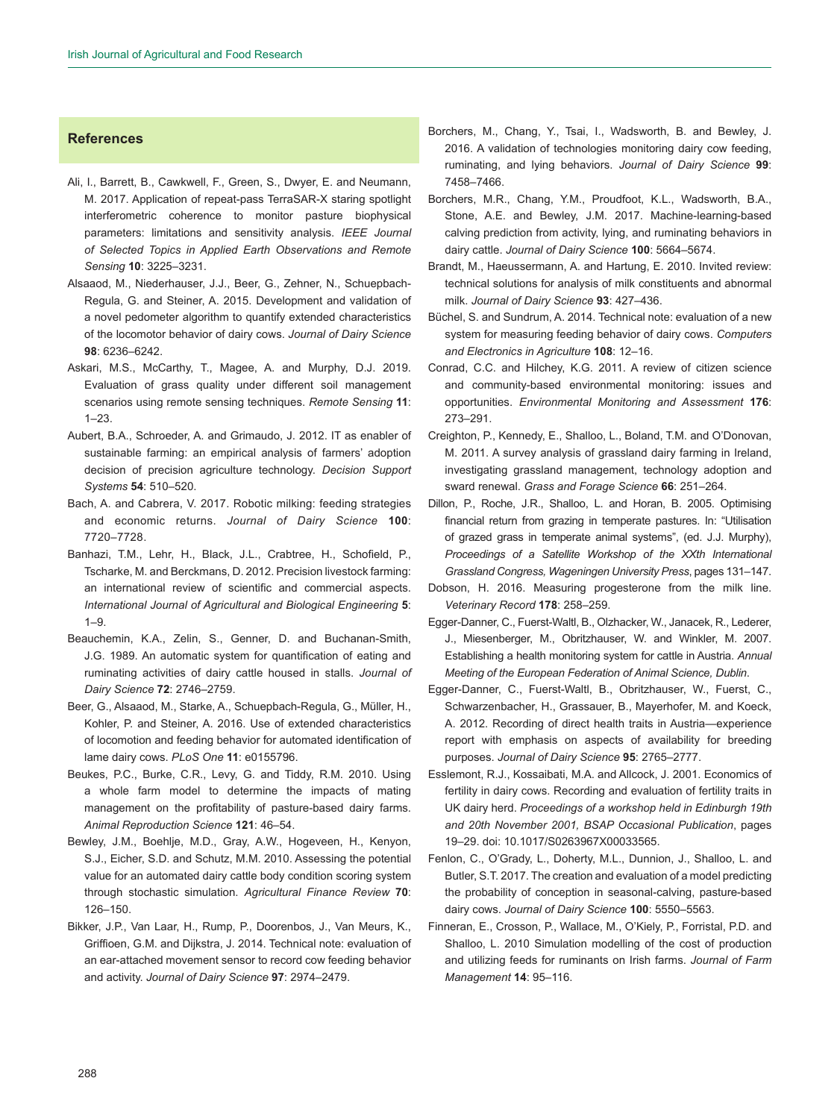## **References**

- Ali, I., Barrett, B., Cawkwell, F., Green, S., Dwyer, E. and Neumann, M. 2017. Application of repeat-pass TerraSAR-X staring spotlight interferometric coherence to monitor pasture biophysical parameters: limitations and sensitivity analysis. *IEEE Journal of Selected Topics in Applied Earth Observations and Remote Sensing* **10**: 3225–3231.
- Alsaaod, M., Niederhauser, J.J., Beer, G., Zehner, N., Schuepbach-Regula, G. and Steiner, A. 2015. Development and validation of a novel pedometer algorithm to quantify extended characteristics of the locomotor behavior of dairy cows. *Journal of Dairy Science* **98**: 6236–6242.
- Askari, M.S., McCarthy, T., Magee, A. and Murphy, D.J. 2019. Evaluation of grass quality under different soil management scenarios using remote sensing techniques. *Remote Sensing* **11**: 1–23.
- Aubert, B.A., Schroeder, A. and Grimaudo, J. 2012. IT as enabler of sustainable farming: an empirical analysis of farmers' adoption decision of precision agriculture technology. *Decision Support Systems* **54**: 510–520.
- Bach, A. and Cabrera, V. 2017. Robotic milking: feeding strategies and economic returns. *Journal of Dairy Science* **100**: 7720–7728.
- Banhazi, T.M., Lehr, H., Black, J.L., Crabtree, H., Schofield, P., Tscharke, M. and Berckmans, D. 2012. Precision livestock farming: an international review of scientific and commercial aspects. *International Journal of Agricultural and Biological Engineering* **5**:  $1 - 9$ .
- Beauchemin, K.A., Zelin, S., Genner, D. and Buchanan-Smith, J.G. 1989. An automatic system for quantification of eating and ruminating activities of dairy cattle housed in stalls. *Journal of Dairy Science* **72**: 2746–2759.
- Beer, G., Alsaaod, M., Starke, A., Schuepbach-Regula, G., Müller, H., Kohler, P. and Steiner, A. 2016. Use of extended characteristics of locomotion and feeding behavior for automated identification of lame dairy cows. *PLoS One* **11**: e0155796.
- Beukes, P.C., Burke, C.R., Levy, G. and Tiddy, R.M. 2010. Using a whole farm model to determine the impacts of mating management on the profitability of pasture-based dairy farms. *Animal Reproduction Science* **121**: 46–54.
- Bewley, J.M., Boehlje, M.D., Gray, A.W., Hogeveen, H., Kenyon, S.J., Eicher, S.D. and Schutz, M.M. 2010. Assessing the potential value for an automated dairy cattle body condition scoring system through stochastic simulation. *Agricultural Finance Review* **70**: 126–150.
- Bikker, J.P., Van Laar, H., Rump, P., Doorenbos, J., Van Meurs, K., Griffioen, G.M. and Dijkstra, J. 2014. Technical note: evaluation of an ear-attached movement sensor to record cow feeding behavior and activity. *Journal of Dairy Science* **97**: 2974–2479.
- Borchers, M., Chang, Y., Tsai, I., Wadsworth, B. and Bewley, J. 2016. A validation of technologies monitoring dairy cow feeding, ruminating, and lying behaviors. *Journal of Dairy Science* **99**: 7458–7466.
- Borchers, M.R., Chang, Y.M., Proudfoot, K.L., Wadsworth, B.A., Stone, A.E. and Bewley, J.M. 2017. Machine-learning-based calving prediction from activity, lying, and ruminating behaviors in dairy cattle. *Journal of Dairy Science* **100**: 5664–5674.
- Brandt, M., Haeussermann, A. and Hartung, E. 2010. Invited review: technical solutions for analysis of milk constituents and abnormal milk. *Journal of Dairy Science* **93**: 427–436.
- Büchel, S. and Sundrum, A. 2014. Technical note: evaluation of a new system for measuring feeding behavior of dairy cows. *Computers and Electronics in Agriculture* **108**: 12–16.
- Conrad, C.C. and Hilchey, K.G. 2011. A review of citizen science and community-based environmental monitoring: issues and opportunities. *Environmental Monitoring and Assessment* **176**: 273–291.
- Creighton, P., Kennedy, E., Shalloo, L., Boland, T.M. and O'Donovan, M. 2011. A survey analysis of grassland dairy farming in Ireland, investigating grassland management, technology adoption and sward renewal. *Grass and Forage Science* **66**: 251–264.
- Dillon, P., Roche, J.R., Shalloo, L. and Horan, B. 2005. Optimising financial return from grazing in temperate pastures. In: "Utilisation of grazed grass in temperate animal systems", (ed. J.J. Murphy), *Proceedings of a Satellite Workshop of the XXth International Grassland Congress, Wageningen University Press*, pages 131–147.
- Dobson, H. 2016. Measuring progesterone from the milk line. *Veterinary Record* **178**: 258–259.
- Egger-Danner, C., Fuerst-Waltl, B., Olzhacker, W., Janacek, R., Lederer, J., Miesenberger, M., Obritzhauser, W. and Winkler, M. 2007. Establishing a health monitoring system for cattle in Austria. *Annual Meeting of the European Federation of Animal Science, Dublin*.
- Egger-Danner, C., Fuerst-Waltl, B., Obritzhauser, W., Fuerst, C., Schwarzenbacher, H., Grassauer, B., Mayerhofer, M. and Koeck, A. 2012. Recording of direct health traits in Austria—experience report with emphasis on aspects of availability for breeding purposes. *Journal of Dairy Science* **95**: 2765–2777.
- Esslemont, R.J., Kossaibati, M.A. and Allcock, J. 2001. Economics of fertility in dairy cows. Recording and evaluation of fertility traits in UK dairy herd. *Proceedings of a workshop held in Edinburgh 19th and 20th November 2001, BSAP Occasional Publication*, pages 19–29. [doi: 10.1017/S0263967X00033565.](https://doi.org/10.1017/S0263967X00033565)
- Fenlon, C., O'Grady, L., Doherty, M.L., Dunnion, J., Shalloo, L. and Butler, S.T. 2017. The creation and evaluation of a model predicting the probability of conception in seasonal-calving, pasture-based dairy cows. *Journal of Dairy Science* **100**: 5550–5563.
- Finneran, E., Crosson, P., Wallace, M., O'Kiely, P., Forristal, P.D. and Shalloo, L. 2010 Simulation modelling of the cost of production and utilizing feeds for ruminants on Irish farms. *Journal of Farm Management* **14**: 95–116.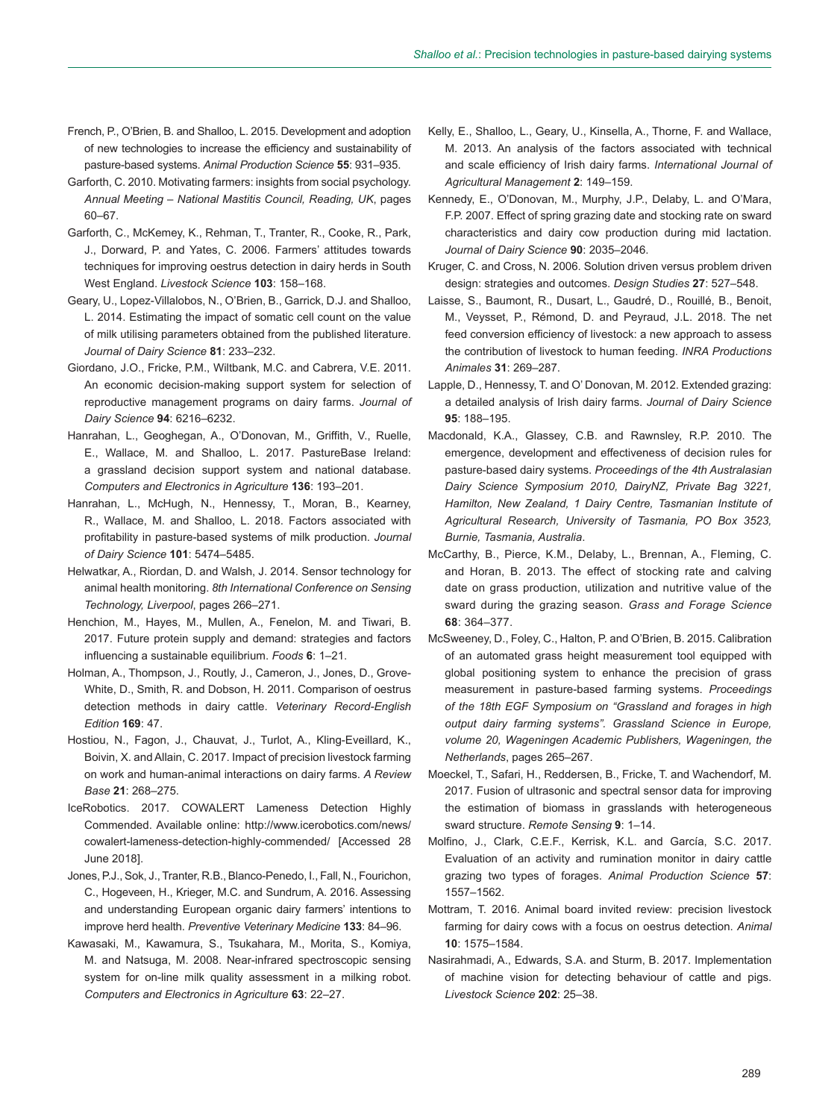- French, P., O'Brien, B. and Shalloo, L. 2015. Development and adoption of new technologies to increase the efficiency and sustainability of pasture-based systems. *Animal Production Science* **55**: 931–935.
- Garforth, C. 2010. Motivating farmers: insights from social psychology. *Annual Meeting – National Mastitis Council, Reading, UK*, pages 60–67.
- Garforth, C., McKemey, K., Rehman, T., Tranter, R., Cooke, R., Park, J., Dorward, P. and Yates, C. 2006. Farmers' attitudes towards techniques for improving oestrus detection in dairy herds in South West England. *Livestock Science* **103**: 158–168.
- Geary, U., Lopez-Villalobos, N., O'Brien, B., Garrick, D.J. and Shalloo, L. 2014. Estimating the impact of somatic cell count on the value of milk utilising parameters obtained from the published literature. *Journal of Dairy Science* **81**: 233–232.
- Giordano, J.O., Fricke, P.M., Wiltbank, M.C. and Cabrera, V.E. 2011. An economic decision-making support system for selection of reproductive management programs on dairy farms. *Journal of Dairy Science* **94**: 6216–6232.
- Hanrahan, L., Geoghegan, A., O'Donovan, M., Griffith, V., Ruelle, E., Wallace, M. and Shalloo, L. 2017. PastureBase Ireland: a grassland decision support system and national database. *Computers and Electronics in Agriculture* **136**: 193–201.
- Hanrahan, L., McHugh, N., Hennessy, T., Moran, B., Kearney, R., Wallace, M. and Shalloo, L. 2018. Factors associated with profitability in pasture-based systems of milk production. *Journal of Dairy Science* **101**: 5474–5485.
- Helwatkar, A., Riordan, D. and Walsh, J. 2014. Sensor technology for animal health monitoring. *8th International Conference on Sensing Technology, Liverpool*, pages 266–271.
- Henchion, M., Hayes, M., Mullen, A., Fenelon, M. and Tiwari, B. 2017. Future protein supply and demand: strategies and factors influencing a sustainable equilibrium. *Foods* **6**: 1–21.
- Holman, A., Thompson, J., Routly, J., Cameron, J., Jones, D., Grove-White, D., Smith, R. and Dobson, H. 2011. Comparison of oestrus detection methods in dairy cattle. *Veterinary Record-English Edition* **169**: 47.
- Hostiou, N., Fagon, J., Chauvat, J., Turlot, A., Kling-Eveillard, K., Boivin, X. and Allain, C. 2017. Impact of precision livestock farming on work and human-animal interactions on dairy farms. *A Review Base* **21**: 268–275.
- IceRobotics. 2017. COWALERT Lameness Detection Highly Commended. Available online: [http://www.icerobotics.com/news/](http://www.icerobotics.com/news/cowalert-lameness-detection-highly-commended/) [cowalert-lameness-detection-highly-commended/](http://www.icerobotics.com/news/cowalert-lameness-detection-highly-commended/) [Accessed 28 June 2018].
- Jones, P.J., Sok, J., Tranter, R.B., Blanco-Penedo, I., Fall, N., Fourichon, C., Hogeveen, H., Krieger, M.C. and Sundrum, A. 2016. Assessing and understanding European organic dairy farmers' intentions to improve herd health. *Preventive Veterinary Medicine* **133**: 84–96.
- Kawasaki, M., Kawamura, S., Tsukahara, M., Morita, S., Komiya, M. and Natsuga, M. 2008. Near-infrared spectroscopic sensing system for on-line milk quality assessment in a milking robot. *Computers and Electronics in Agriculture* **63**: 22–27.
- Kelly, E., Shalloo, L., Geary, U., Kinsella, A., Thorne, F. and Wallace, M. 2013. An analysis of the factors associated with technical and scale efficiency of Irish dairy farms. *International Journal of Agricultural Management* **2**: 149–159.
- Kennedy, E., O'Donovan, M., Murphy, J.P., Delaby, L. and O'Mara, F.P. 2007. Effect of spring grazing date and stocking rate on sward characteristics and dairy cow production during mid lactation. *Journal of Dairy Science* **90**: 2035–2046.
- Kruger, C. and Cross, N. 2006. Solution driven versus problem driven design: strategies and outcomes. *Design Studies* **27**: 527–548.
- Laisse, S., Baumont, R., Dusart, L., Gaudré, D., Rouillé, B., Benoit, M., Veysset, P., Rémond, D. and Peyraud, J.L. 2018. The net feed conversion efficiency of livestock: a new approach to assess the contribution of livestock to human feeding. *INRA Productions Animales* **31**: 269–287.
- Lapple, D., Hennessy, T. and O' Donovan, M. 2012. Extended grazing: a detailed analysis of Irish dairy farms. *Journal of Dairy Science* **95**: 188–195.
- Macdonald, K.A., Glassey, C.B. and Rawnsley, R.P. 2010. The emergence, development and effectiveness of decision rules for pasture-based dairy systems. *Proceedings of the 4th Australasian Dairy Science Symposium 2010, DairyNZ, Private Bag 3221, Hamilton, New Zealand, 1 Dairy Centre, Tasmanian Institute of Agricultural Research, University of Tasmania, PO Box 3523, Burnie, Tasmania, Australia*.
- McCarthy, B., Pierce, K.M., Delaby, L., Brennan, A., Fleming, C. and Horan, B. 2013. The effect of stocking rate and calving date on grass production, utilization and nutritive value of the sward during the grazing season. *Grass and Forage Science* **68**: 364–377.
- McSweeney, D., Foley, C., Halton, P. and O'Brien, B. 2015. Calibration of an automated grass height measurement tool equipped with global positioning system to enhance the precision of grass measurement in pasture-based farming systems. *Proceedings of the 18th EGF Symposium on "Grassland and forages in high output dairy farming systems". Grassland Science in Europe, volume 20, Wageningen Academic Publishers, Wageningen, the Netherlands*, pages 265–267.
- Moeckel, T., Safari, H., Reddersen, B., Fricke, T. and Wachendorf, M. 2017. Fusion of ultrasonic and spectral sensor data for improving the estimation of biomass in grasslands with heterogeneous sward structure. *Remote Sensing* **9**: 1–14.
- Molfino, J., Clark, C.E.F., Kerrisk, K.L. and García, S.C. 2017. Evaluation of an activity and rumination monitor in dairy cattle grazing two types of forages. *Animal Production Science* **57**: 1557–1562.
- Mottram, T. 2016. Animal board invited review: precision livestock farming for dairy cows with a focus on oestrus detection. *Animal* **10**: 1575–1584.
- Nasirahmadi, A., Edwards, S.A. and Sturm, B. 2017. Implementation of machine vision for detecting behaviour of cattle and pigs. *Livestock Science* **202**: 25–38.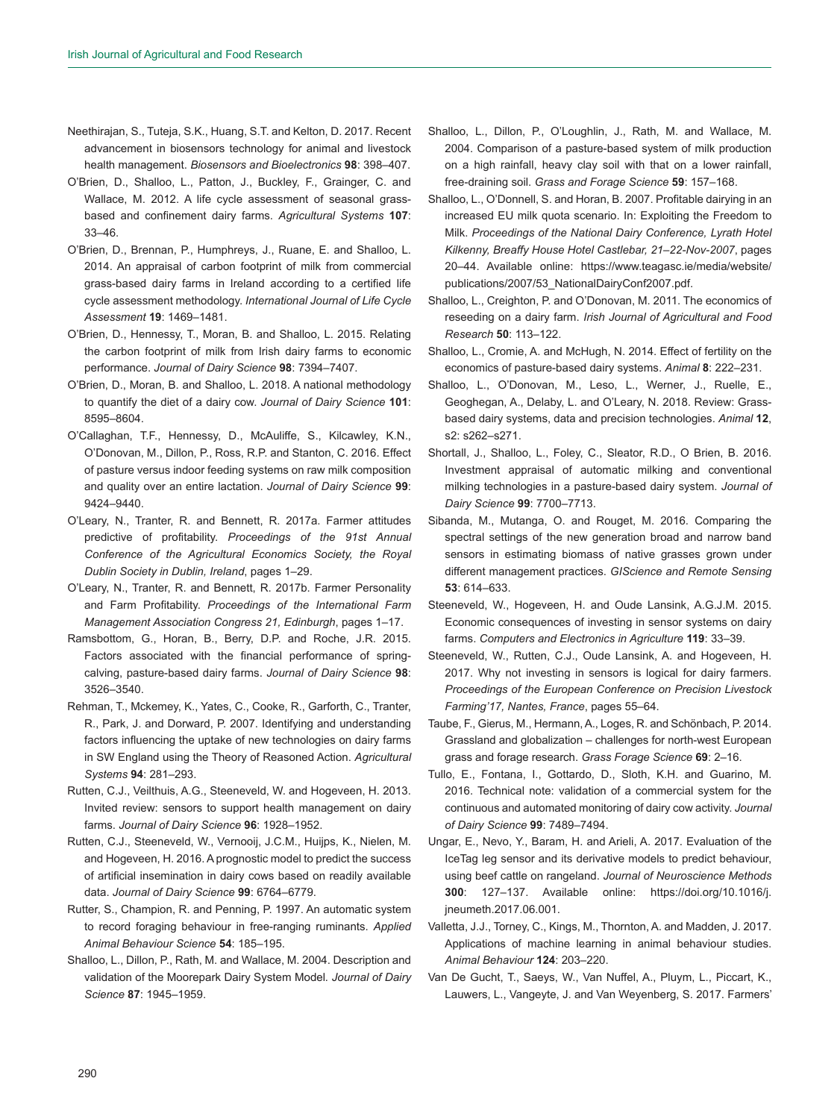- Neethirajan, S., Tuteja, S.K., Huang, S.T. and Kelton, D. 2017. Recent advancement in biosensors technology for animal and livestock health management. *Biosensors and Bioelectronics* **98**: 398–407.
- O'Brien, D., Shalloo, L., Patton, J., Buckley, F., Grainger, C. and Wallace, M. 2012. A life cycle assessment of seasonal grassbased and confinement dairy farms. *Agricultural Systems* **107**: 33–46.
- O'Brien, D., Brennan, P., Humphreys, J., Ruane, E. and Shalloo, L. 2014. An appraisal of carbon footprint of milk from commercial grass-based dairy farms in Ireland according to a certified life cycle assessment methodology. *International Journal of Life Cycle Assessment* **19**: 1469–1481.
- O'Brien, D., Hennessy, T., Moran, B. and Shalloo, L. 2015. Relating the carbon footprint of milk from Irish dairy farms to economic performance. *Journal of Dairy Science* **98**: 7394–7407.
- O'Brien, D., Moran, B. and Shalloo, L. 2018. A national methodology to quantify the diet of a dairy cow. *Journal of Dairy Science* **101**: 8595–8604.
- O'Callaghan, T.F., Hennessy, D., McAuliffe, S., Kilcawley, K.N., O'Donovan, M., Dillon, P., Ross, R.P. and Stanton, C. 2016. Effect of pasture versus indoor feeding systems on raw milk composition and quality over an entire lactation. *Journal of Dairy Science* **99**: 9424–9440.
- O'Leary, N., Tranter, R. and Bennett, R. 2017a. Farmer attitudes predictive of profitability. *Proceedings of the 91st Annual Conference of the Agricultural Economics Society, the Royal Dublin Society in Dublin, Ireland*, pages 1–29.
- O'Leary, N., Tranter, R. and Bennett, R. 2017b. Farmer Personality and Farm Profitability. *Proceedings of the International Farm Management Association Congress 21, Edinburgh*, pages 1–17.
- Ramsbottom, G., Horan, B., Berry, D.P. and Roche, J.R. 2015. Factors associated with the financial performance of springcalving, pasture-based dairy farms. *Journal of Dairy Science* **98**: 3526–3540.
- Rehman, T., Mckemey, K., Yates, C., Cooke, R., Garforth, C., Tranter, R., Park, J. and Dorward, P. 2007. Identifying and understanding factors influencing the uptake of new technologies on dairy farms in SW England using the Theory of Reasoned Action. *Agricultural Systems* **94**: 281–293.
- Rutten, C.J., Veilthuis, A.G., Steeneveld, W. and Hogeveen, H. 2013. Invited review: sensors to support health management on dairy farms. *Journal of Dairy Science* **96**: 1928–1952.
- Rutten, C.J., Steeneveld, W., Vernooij, J.C.M., Huijps, K., Nielen, M. and Hogeveen, H. 2016. A prognostic model to predict the success of artificial insemination in dairy cows based on readily available data. *Journal of Dairy Science* **99**: 6764–6779.
- Rutter, S., Champion, R. and Penning, P. 1997. An automatic system to record foraging behaviour in free-ranging ruminants. *Applied Animal Behaviour Science* **54**: 185–195.
- Shalloo, L., Dillon, P., Rath, M. and Wallace, M. 2004. Description and validation of the Moorepark Dairy System Model*. Journal of Dairy Science* **87**: 1945–1959.
- Shalloo, L., Dillon, P., O'Loughlin, J., Rath, M. and Wallace, M. 2004. Comparison of a pasture-based system of milk production on a high rainfall, heavy clay soil with that on a lower rainfall, free-draining soil. *Grass and Forage Science* **59**: 157–168.
- Shalloo, L., O'Donnell, S. and Horan, B. 2007. Profitable dairying in an increased EU milk quota scenario. In: Exploiting the Freedom to Milk. *Proceedings of the National Dairy Conference, Lyrath Hotel Kilkenny, Breaffy House Hotel Castlebar, 21–22-Nov-2007*, pages 20–44. Available online: [https://www.teagasc.ie/media/website/](https://www.teagasc.ie/media/website/publications/2007/53_NationalDairyConf2007.pdf) [publications/2007/53\\_NationalDairyConf2007.pdf.](https://www.teagasc.ie/media/website/publications/2007/53_NationalDairyConf2007.pdf)
- Shalloo, L., Creighton, P. and O'Donovan, M. 2011. The economics of reseeding on a dairy farm. *Irish Journal of Agricultural and Food Research* **50**: 113–122.
- Shalloo, L., Cromie, A. and McHugh, N. 2014. Effect of fertility on the economics of pasture-based dairy systems. *Animal* **8**: 222–231.
- Shalloo, L., O'Donovan, M., Leso, L., Werner, J., Ruelle, E., Geoghegan, A., Delaby, L. and O'Leary, N. 2018. Review: Grassbased dairy systems, data and precision technologies. *Animal* **12**, s2: s262–s271.
- Shortall, J., Shalloo, L., Foley, C., Sleator, R.D., O Brien, B. 2016. Investment appraisal of automatic milking and conventional milking technologies in a pasture-based dairy system. *Journal of Dairy Science* **99**: 7700–7713.
- Sibanda, M., Mutanga, O. and Rouget, M. 2016. Comparing the spectral settings of the new generation broad and narrow band sensors in estimating biomass of native grasses grown under different management practices. *GIScience and Remote Sensing* **53**: 614–633.
- Steeneveld, W., Hogeveen, H. and Oude Lansink, A.G.J.M. 2015. Economic consequences of investing in sensor systems on dairy farms. *Computers and Electronics in Agriculture* **119**: 33–39.
- Steeneveld, W., Rutten, C.J., Oude Lansink, A. and Hogeveen, H. 2017. Why not investing in sensors is logical for dairy farmers. *Proceedings of the European Conference on Precision Livestock Farming'17, Nantes, France*, pages 55–64.
- Taube, F., Gierus, M., Hermann, A., Loges, R. and Schönbach, P. 2014. Grassland and globalization – challenges for north-west European grass and forage research. *Grass Forage Science* **69**: 2–16.
- Tullo, E., Fontana, I., Gottardo, D., Sloth, K.H. and Guarino, M. 2016. Technical note: validation of a commercial system for the continuous and automated monitoring of dairy cow activity. *Journal of Dairy Science* **99**: 7489–7494.
- Ungar, E., Nevo, Y., Baram, H. and Arieli, A. 2017. Evaluation of the IceTag leg sensor and its derivative models to predict behaviour, using beef cattle on rangeland. *Journal of Neuroscience Methods*  **300**: 127–137. Available online: [https://doi.org/10.1016/j.](https://doi.org/10.1016/j.jneumeth.2017.06.001) [jneumeth.2017.06.001](https://doi.org/10.1016/j.jneumeth.2017.06.001).
- Valletta, J.J., Torney, C., Kings, M., Thornton, A. and Madden, J. 2017. Applications of machine learning in animal behaviour studies. *Animal Behaviour* **124**: 203–220.
- Van De Gucht, T., Saeys, W., Van Nuffel, A., Pluym, L., Piccart, K., Lauwers, L., Vangeyte, J. and Van Weyenberg, S. 2017. Farmers'